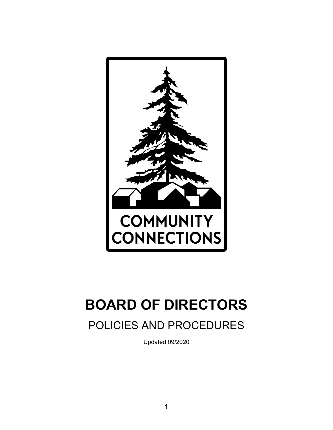

# **BOARD OF DIRECTORS**

# POLICIES AND PROCEDURES

Updated 09/2020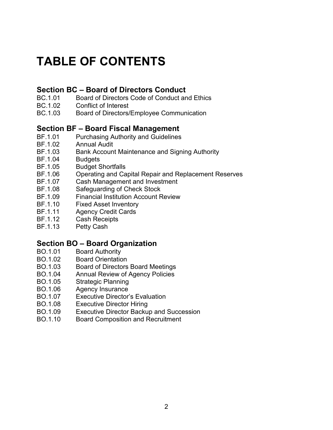# **TABLE OF CONTENTS**

# **Section BC – Board of Directors Conduct**

- BC.1.01 Board of Directors Code of Conduct and Ethics<br>BC.1.02 Conflict of Interest
- Conflict of Interest
- BC.1.03 Board of Directors/Employee Communication

# **Section BF – Board Fiscal Management**

- BF.1.01 Purchasing Authority and Guidelines<br>BF.1.02 Annual Audit
- **Annual Audit**
- BF.1.03 Bank Account Maintenance and Signing Authority
- BF.1.04 Budgets
- BF.1.05 Budget Shortfalls
- BF.1.06 Operating and Capital Repair and Replacement Reserves
- BF.1.07 Cash Management and Investment<br>BF.1.08 Safequarding of Check Stock
- Safeguarding of Check Stock
- BF.1.09 Financial Institution Account Review
- BF.1.10 Fixed Asset Inventory
- BF.1.11 Agency Credit Cards<br>BF.1.12 Cash Receipts
- **Cash Receipts**
- BF.1.13 Petty Cash

# **Section BO – Board Organization**

- **Board Authority**
- BO.1.02 Board Orientation
- BO.1.03 Board of Directors Board Meetings
- BO.1.04 Annual Review of Agency Policies
- BO.1.05 Strategic Planning
- BO.1.06 Agency Insurance
- BO.1.07 Executive Director's Evaluation
- BO.1.08 Executive Director Hiring
- BO.1.09 Executive Director Backup and Succession
- BO.1.10 Board Composition and Recruitment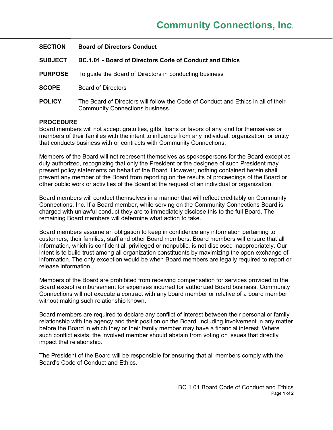| <b>SECTION</b> | <b>Board of Directors Conduct</b>                                                                                           |
|----------------|-----------------------------------------------------------------------------------------------------------------------------|
| <b>SUBJECT</b> | <b>BC.1.01 - Board of Directors Code of Conduct and Ethics</b>                                                              |
| <b>PURPOSE</b> | To guide the Board of Directors in conducting business                                                                      |
| <b>SCOPE</b>   | <b>Board of Directors</b>                                                                                                   |
| <b>POLICY</b>  | The Board of Directors will follow the Code of Conduct and Ethics in all of their<br><b>Community Connections business.</b> |

Board members will not accept gratuities, gifts, loans or favors of any kind for themselves or members of their families with the intent to influence from any individual, organization, or entity that conducts business with or contracts with Community Connections.

Members of the Board will not represent themselves as spokespersons for the Board except as duly authorized, recognizing that only the President or the designee of such President may present policy statements on behalf of the Board. However, nothing contained herein shall prevent any member of the Board from reporting on the results of proceedings of the Board or other public work or activities of the Board at the request of an individual or organization.

Board members will conduct themselves in a manner that will reflect creditably on Community Connections, Inc. If a Board member, while serving on the Community Connections Board is charged with unlawful conduct they are to immediately disclose this to the full Board. The remaining Board members will determine what action to take.

Board members assume an obligation to keep in confidence any information pertaining to customers, their families, staff and other Board members. Board members will ensure that all information, which is confidential, privileged or nonpublic, is not disclosed inappropriately. Our intent is to build trust among all organization constituents by maximizing the open exchange of information. The only exception would be when Board members are legally required to report or release information.

Members of the Board are prohibited from receiving compensation for services provided to the Board except reimbursement for expenses incurred for authorized Board business. Community Connections will not execute a contract with any board member or relative of a board member without making such relationship known.

Board members are required to declare any conflict of interest between their personal or family relationship with the agency and their position on the Board, including involvement in any matter before the Board in which they or their family member may have a financial interest. Where such conflict exists, the involved member should abstain from voting on issues that directly impact that relationship.

The President of the Board will be responsible for ensuring that all members comply with the Board's Code of Conduct and Ethics.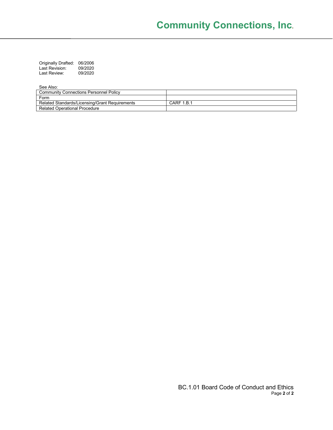Originally Drafted: 06/2006 Last Revision: 09/2020 Last Revision: USIZUZU<br>Last Review: 09/2020

| <b>000,000.</b>                                |            |
|------------------------------------------------|------------|
| <b>Community Connections Personnel Policy</b>  |            |
| Form                                           |            |
| Related Standards/Licensing/Grant Requirements | CARF 1.B.1 |
| Related Operational Procedure                  |            |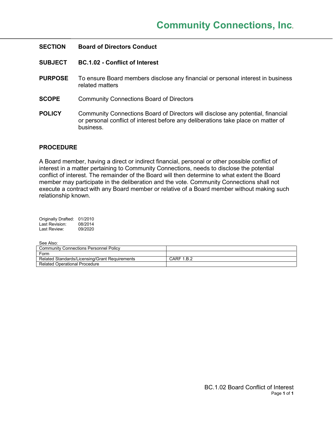| <b>SECTION</b> | <b>Board of Directors Conduct</b>                                                                                                                                                 |
|----------------|-----------------------------------------------------------------------------------------------------------------------------------------------------------------------------------|
| <b>SUBJECT</b> | <b>BC.1.02 - Conflict of Interest</b>                                                                                                                                             |
| <b>PURPOSE</b> | To ensure Board members disclose any financial or personal interest in business<br>related matters                                                                                |
| <b>SCOPE</b>   | <b>Community Connections Board of Directors</b>                                                                                                                                   |
| <b>POLICY</b>  | Community Connections Board of Directors will disclose any potential, financial<br>or personal conflict of interest before any deliberations take place on matter of<br>business. |

A Board member, having a direct or indirect financial, personal or other possible conflict of interest in a matter pertaining to Community Connections, needs to disclose the potential conflict of interest. The remainder of the Board will then determine to what extent the Board member may participate in the deliberation and the vote. Community Connections shall not execute a contract with any Board member or relative of a Board member without making such relationship known.

| <b>Originally Drafted:</b> | 01/2010 |
|----------------------------|---------|
| Last Revision:             | 08/2014 |
| Last Review:               | 09/2020 |

| ---------------                                |            |
|------------------------------------------------|------------|
| <b>Community Connections Personnel Policy</b>  |            |
| Form                                           |            |
| Related Standards/Licensing/Grant Requirements | CARF 1.B.2 |
| Related Operational Procedure                  |            |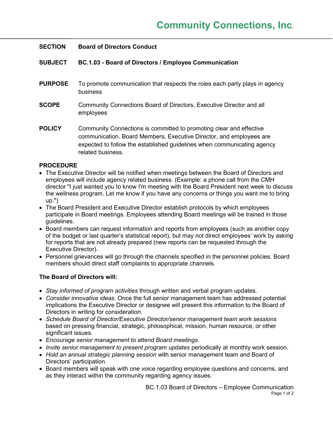# **SECTION Board of Directors Conduct**

# **SUBJECT BC.1.03 - Board of Directors / Employee Communication**

- **PURPOSE** To promote communication that respects the roles each party plays in agency business
- **SCOPE** Community Connections Board of Directors, Executive Director and all employees
- **POLICY** Community Connections is committed to promoting clear and effective communication. Board Members, Executive Director, and employees are expected to follow the established guidelines when communicating agency related business.

# **PROCEDURE**

- The Executive Director will be notified when meetings between the Board of Directors and employees will include agency related business. (Example: a phone call from the CMH director "I just wanted you to know I'm meeting with the Board President next week to discuss the wellness program. Let me know if you have any concerns or things you want me to bring up.")
- The Board President and Executive Director establish protocols by which employees participate in Board meetings. Employees attending Board meetings will be trained in those guidelines.
- Board members can request information and reports from employees (such as another copy of the budget or last quarter's statistical report), but may not direct employees' work by asking for reports that are not already prepared (new reports can be requested through the Executive Director).
- Personnel grievances will go through the channels specified in the personnel policies. Board members should direct staff complaints to appropriate channels.

# **The Board of Directors will:**

- *Stay informed of program activities* through written and verbal program updates.
- *Consider innovative ideas*. Once the full senior management team has addressed potential implications the Executive Director or designee will present this information to the Board of Directors in writing for consideration.
- *Schedule Board of Director/Executive Director/senior management team work sessions* based on pressing financial, strategic, philosophical, mission, human resource, or other significant issues.
- *Encourage senior management to attend Board meetings*.
- *Invite senior management to present program updates* periodically at monthly work session.
- *Hold an annual strategic planning session* with senior management team and Board of Directors' participation.
- Board members will speak with one voice regarding employee questions and concerns, and as they interact within the community regarding agency issues.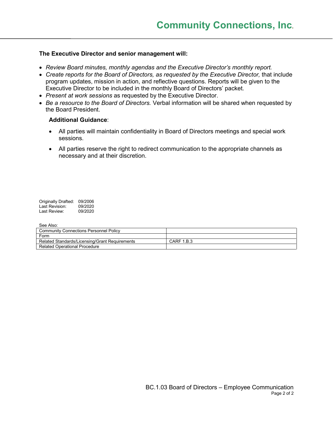# **The Executive Director and senior management will:**

- *Review Board minutes, monthly agendas and the Executive Director's monthly report.*
- *Create reports for the Board of Directors, as requested by the Executive Director,* that include program updates, mission in action, and reflective questions. Reports will be given to the Executive Director to be included in the monthly Board of Directors' packet.
- *Present at work sessions* as requested by the Executive Director.
- *Be a resource to the Board of Directors.* Verbal information will be shared when requested by the Board President.

# **Additional Guidance**:

- All parties will maintain confidentiality in Board of Directors meetings and special work sessions.
- All parties reserve the right to redirect communication to the appropriate channels as necessary and at their discretion.

Originally Drafted: 09/2006 Last Revision: 09/2020 Last Review: 09/2020

| <b>000,000.</b>                                |            |
|------------------------------------------------|------------|
| <b>Community Connections Personnel Policy</b>  |            |
| Form                                           |            |
| Related Standards/Licensing/Grant Requirements | CARF 1.B.3 |
| <b>Related Operational Procedure</b>           |            |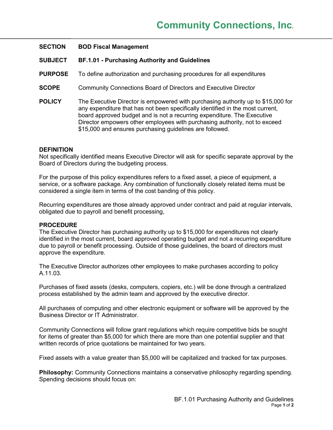### **SUBJECT BF.1.01 - Purchasing Authority and Guidelines**

- **PURPOSE** To define authorization and purchasing procedures for all expenditures
- **SCOPE** Community Connections Board of Directors and Executive Director
- **POLICY** The Executive Director is empowered with purchasing authority up to \$15,000 for any expenditure that has not been specifically identified in the most current, board approved budget and is not a recurring expenditure. The Executive Director empowers other employees with purchasing authority, not to exceed \$15,000 and ensures purchasing quidelines are followed.

#### **DEFINITION**

Not specifically identified means Executive Director will ask for specific separate approval by the Board of Directors during the budgeting process.

For the purpose of this policy expenditures refers to a fixed asset, a piece of equipment, a service, or a software package. Any combination of functionally closely related items must be considered a single item in terms of the cost banding of this policy.

Recurring expenditures are those already approved under contract and paid at regular intervals, obligated due to payroll and benefit processing,

#### **PROCEDURE**

The Executive Director has purchasing authority up to \$15,000 for expenditures not clearly identified in the most current, board approved operating budget and not a recurring expenditure due to payroll or benefit processing. Outside of those guidelines, the board of directors must approve the expenditure.

The Executive Director authorizes other employees to make purchases according to policy A.11.03.

Purchases of fixed assets (desks, computers, copiers, etc.) will be done through a centralized process established by the admin team and approved by the executive director.

All purchases of computing and other electronic equipment or software will be approved by the Business Director or IT Administrator.

Community Connections will follow grant regulations which require competitive bids be sought for items of greater than \$5,000 for which there are more than one potential supplier and that written records of price quotations be maintained for two years.

Fixed assets with a value greater than \$5,000 will be capitalized and tracked for tax purposes.

**Philosophy:** Community Connections maintains a conservative philosophy regarding spending. Spending decisions should focus on: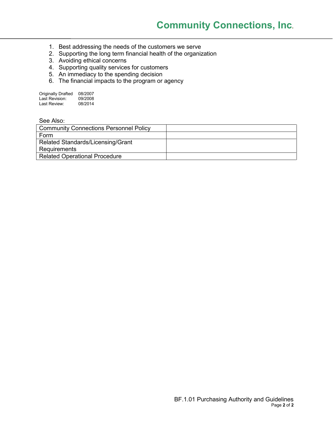- 1. Best addressing the needs of the customers we serve
- 2. Supporting the long term financial health of the organization
- 3. Avoiding ethical concerns
- 4. Supporting quality services for customers
- 5. An immediacy to the spending decision
- 6. The financial impacts to the program or agency

| <b>Originally Drafted</b> | 08/2007 |
|---------------------------|---------|
| Last Revision:            | 09/2008 |
| Last Review:              | 08/2014 |

| <b>Community Connections Personnel Policy</b> |  |
|-----------------------------------------------|--|
| Form                                          |  |
| Related Standards/Licensing/Grant             |  |
| Requirements                                  |  |
| <b>Related Operational Procedure</b>          |  |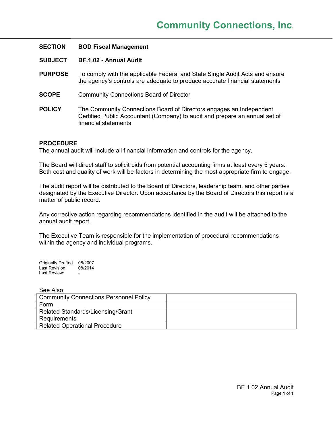| <b>SECTION</b> | <b>BOD Fiscal Management</b>                                                                                                                                               |
|----------------|----------------------------------------------------------------------------------------------------------------------------------------------------------------------------|
| <b>SUBJECT</b> | BF.1.02 - Annual Audit                                                                                                                                                     |
| <b>PURPOSE</b> | To comply with the applicable Federal and State Single Audit Acts and ensure<br>the agency's controls are adequate to produce accurate financial statements                |
| <b>SCOPE</b>   | <b>Community Connections Board of Director</b>                                                                                                                             |
| <b>POLICY</b>  | The Community Connections Board of Directors engages an Independent<br>Certified Public Accountant (Company) to audit and prepare an annual set of<br>financial statements |

The annual audit will include all financial information and controls for the agency.

The Board will direct staff to solicit bids from potential accounting firms at least every 5 years. Both cost and quality of work will be factors in determining the most appropriate firm to engage.

The audit report will be distributed to the Board of Directors, leadership team, and other parties designated by the Executive Director. Upon acceptance by the Board of Directors this report is a matter of public record.

Any corrective action regarding recommendations identified in the audit will be attached to the annual audit report.

The Executive Team is responsible for the implementation of procedural recommendations within the agency and individual programs.

Originally Drafted 08/2007<br>Last Revision: 08/2014 Last Revision: Last Review: -

| <b>Community Connections Personnel Policy</b> |  |
|-----------------------------------------------|--|
| Form                                          |  |
| Related Standards/Licensing/Grant             |  |
| <b>Requirements</b>                           |  |
| <b>Related Operational Procedure</b>          |  |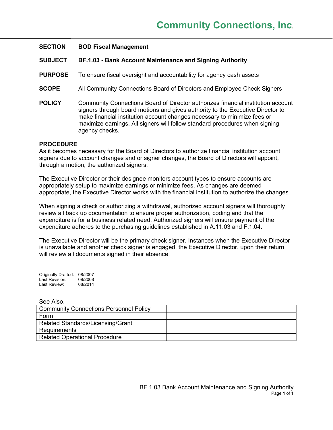| <b>SECTION</b> | <b>BOD Fiscal Management</b> |
|----------------|------------------------------|
|----------------|------------------------------|

- **SUBJECT BF.1.03 - Bank Account Maintenance and Signing Authority**
- **PURPOSE** To ensure fiscal oversight and accountability for agency cash assets
- **SCOPE** All Community Connections Board of Directors and Employee Check Signers
- **POLICY** Community Connections Board of Director authorizes financial institution account signers through board motions and gives authority to the Executive Director to make financial institution account changes necessary to minimize fees or maximize earnings. All signers will follow standard procedures when signing agency checks.

As it becomes necessary for the Board of Directors to authorize financial institution account signers due to account changes and or signer changes, the Board of Directors will appoint, through a motion, the authorized signers.

The Executive Director or their designee monitors account types to ensure accounts are appropriately setup to maximize earnings or minimize fees. As changes are deemed appropriate, the Executive Director works with the financial institution to authorize the changes.

When signing a check or authorizing a withdrawal, authorized account signers will thoroughly review all back up documentation to ensure proper authorization, coding and that the expenditure is for a business related need. Authorized signers will ensure payment of the expenditure adheres to the purchasing guidelines established in A.11.03 and F.1.04.

The Executive Director will be the primary check signer. Instances when the Executive Director is unavailable and another check signer is engaged, the Executive Director, upon their return, will review all documents signed in their absence.

Originally Drafted: 08/2007<br>Last Revision: 09/2008 Last Revision: Last Review: 08/2014

| <b>Community Connections Personnel Policy</b> |  |
|-----------------------------------------------|--|
| Form                                          |  |
| Related Standards/Licensing/Grant             |  |
| Requirements                                  |  |
| <b>Related Operational Procedure</b>          |  |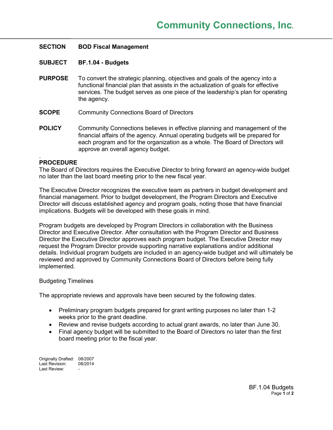- **SUBJECT BF.1.04 - Budgets**
- **PURPOSE** To convert the strategic planning, objectives and goals of the agency into a functional financial plan that assists in the actualization of goals for effective services. The budget serves as one piece of the leadership's plan for operating the agency.
- **SCOPE** Community Connections Board of Directors
- **POLICY** Community Connections believes in effective planning and management of the financial affairs of the agency. Annual operating budgets will be prepared for each program and for the organization as a whole. The Board of Directors will approve an overall agency budget.

#### **PROCEDURE**

.

The Board of Directors requires the Executive Director to bring forward an agency-wide budget no later than the last board meeting prior to the new fiscal year.

The Executive Director recognizes the executive team as partners in budget development and financial management. Prior to budget development, the Program Directors and Executive Director will discuss established agency and program goals, noting those that have financial implications. Budgets will be developed with these goals in mind.

Program budgets are developed by Program Directors in collaboration with the Business Director and Executive Director. After consultation with the Program Director and Business Director the Executive Director approves each program budget. The Executive Director may request the Program Director provide supporting narrative explanations and/or additional details. Individual program budgets are included in an agency-wide budget and will ultimately be reviewed and approved by Community Connections Board of Directors before being fully implemented.

#### Budgeting Timelines

The appropriate reviews and approvals have been secured by the following dates.

- Preliminary program budgets prepared for grant writing purposes no later than 1-2 weeks prior to the grant deadline.
- Review and revise budgets according to actual grant awards, no later than June 30.
- Final agency budget will be submitted to the Board of Directors no later than the first board meeting prior to the fiscal year.

Originally Drafted: 08/2007<br>Last Revision: 08/2014 Last Revision: Last Review: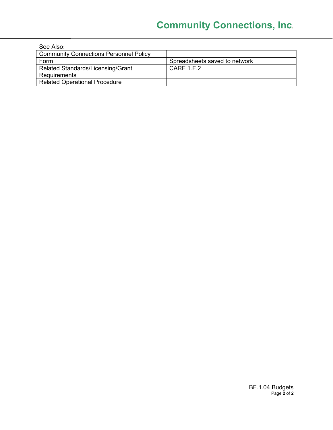| See Also:                                     |                               |
|-----------------------------------------------|-------------------------------|
| <b>Community Connections Personnel Policy</b> |                               |
| Form                                          | Spreadsheets saved to network |
| Related Standards/Licensing/Grant             | CARF 1 F.2                    |
| <b>Requirements</b>                           |                               |
| <b>Related Operational Procedure</b>          |                               |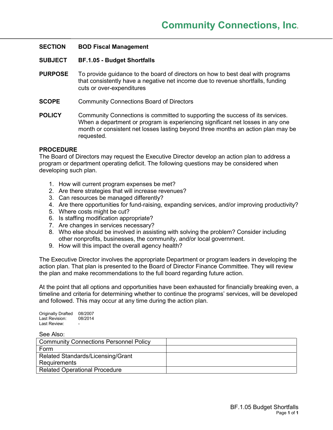### **SUBJECT BF.1.05 - Budget Shortfalls**

- **PURPOSE** To provide guidance to the board of directors on how to best deal with programs that consistently have a negative net income due to revenue shortfalls, funding cuts or over-expenditures
- **SCOPE** Community Connections Board of Directors
- **POLICY** Community Connections is committed to supporting the success of its services. When a department or program is experiencing significant net losses in any one month or consistent net losses lasting beyond three months an action plan may be requested.

#### **PROCEDURE**

The Board of Directors may request the Executive Director develop an action plan to address a program or department operating deficit. The following questions may be considered when developing such plan.

- 1. How will current program expenses be met?
- 2. Are there strategies that will increase revenues?
- 3. Can resources be managed differently?
- 4. Are there opportunities for fund-raising, expanding services, and/or improving productivity?
- 5. Where costs might be cut?
- 6. Is staffing modification appropriate?
- 7. Are changes in services necessary?
- 8. Who else should be involved in assisting with solving the problem? Consider including other nonprofits, businesses, the community, and/or local government.
- 9. How will this impact the overall agency health?

The Executive Director involves the appropriate Department or program leaders in developing the action plan. That plan is presented to the Board of Director Finance Committee. They will review the plan and make recommendations to the full board regarding future action.

At the point that all options and opportunities have been exhausted for financially breaking even, a timeline and criteria for determining whether to continue the programs' services, will be developed and followed. This may occur at any time during the action plan.

Originally Drafted 08/2007<br>Last Revision: 08/2014 Last Revision: I ast Review:

| <b>Community Connections Personnel Policy</b> |  |
|-----------------------------------------------|--|
| Form                                          |  |
| Related Standards/Licensing/Grant             |  |
| Requirements                                  |  |
| <b>Related Operational Procedure</b>          |  |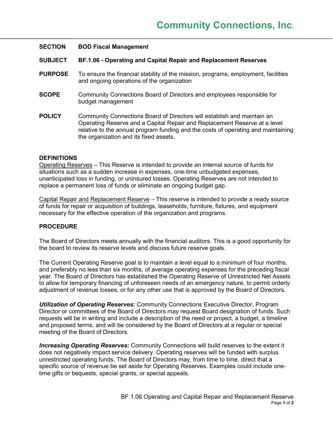#### **SUBJECT BF.1.06 - Operating and Capital Repair and Replacement Reserves**

- **PURPOSE** To ensure the financial stability of the mission, programs, employment, facilities and ongoing operations of the organization
- **SCOPE** Community Connections Board of Directors and employees responsible for budget management
- **POLICY** Community Connections Board of Directors will establish and maintain an Operating Reserve and a Capital Repair and Replacement Reserve at a level relative to the annual program funding and the costs of operating and maintaining the organization and its fixed assets.

#### **DEFINITIONS**

Operating Reserves – This Reserve is intended to provide an internal source of funds for situations such as a sudden increase in expenses, one-time unbudgeted expenses, unanticipated loss in funding, or uninsured losses. Operating Reserves are not intended to replace a permanent loss of funds or eliminate an ongoing budget gap.

Capital Repair and Replacement Reserve – This reserve is intended to provide a ready source of funds for repair or acquisition of buildings, leaseholds, furniture, fixtures, and equipment necessary for the effective operation of the organization and programs.

# **PROCEDURE**

The Board of Directors meets annually with the financial auditors. This is a good opportunity for the board to review its reserve levels and discuss future reserve goals.

The Current Operating Reserve goal is to maintain a level equal to a minimum of four months, and preferably no less than six months, of average operating expenses for the preceding fiscal year. The Board of Directors has established the Operating Reserve of Unrestricted Net Assets to allow for temporary financing of unforeseen needs of an emergency nature, to permit orderly adjustment of revenue losses, or for any other use that is approved by the Board of Directors.

*Utilization of Operating Reserves***:** Community Connections Executive Director, Program Director or committees of the Board of Directors may request Board designation of funds. Such requests will be in writing and include a description of the need or project, a budget, a timeline and proposed terms, and will be considered by the Board of Directors at a regular or special meeting of the Board of Directors.

*Increasing Operating Reserves***:** Community Connections will build reserves to the extent it does not negatively impact service delivery. Operating reserves will be funded with surplus unrestricted operating funds. The Board of Directors may, from time to time, direct that a specific source of revenue be set aside for Operating Reserves. Examples could include onetime gifts or bequests, special grants, or special appeals.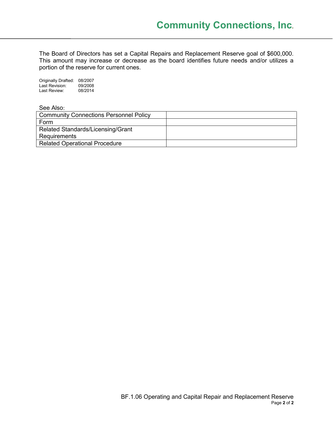The Board of Directors has set a Capital Repairs and Replacement Reserve goal of \$600,000. This amount may increase or decrease as the board identifies future needs and/or utilizes a portion of the reserve for current ones.

Originally Drafted: 08/2007 Last Revision: 09/2008 Last Review: 08/2014

| <b>Community Connections Personnel Policy</b> |  |
|-----------------------------------------------|--|
| Form                                          |  |
| Related Standards/Licensing/Grant             |  |
| Requirements                                  |  |
| <b>Related Operational Procedure</b>          |  |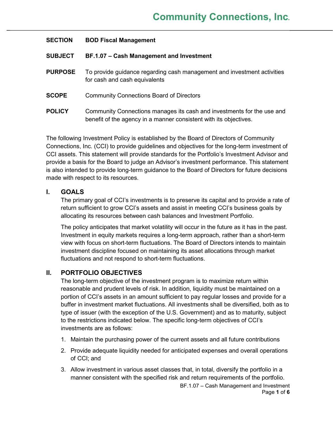| <b>SECTION</b> | <b>BOD Fiscal Management</b>                                                                                                                |
|----------------|---------------------------------------------------------------------------------------------------------------------------------------------|
| <b>SUBJECT</b> | BF.1.07 - Cash Management and Investment                                                                                                    |
| <b>PURPOSE</b> | To provide guidance regarding cash management and investment activities<br>for cash and cash equivalents                                    |
| <b>SCOPE</b>   | <b>Community Connections Board of Directors</b>                                                                                             |
| <b>POLICY</b>  | Community Connections manages its cash and investments for the use and<br>benefit of the agency in a manner consistent with its objectives. |

The following Investment Policy is established by the Board of Directors of Community Connections, Inc. (CCI) to provide guidelines and objectives for the long-term investment of CCI assets. This statement will provide standards for the Portfolio's Investment Advisor and provide a basis for the Board to judge an Advisor's investment performance. This statement is also intended to provide long-term guidance to the Board of Directors for future decisions made with respect to its resources.

# **I. GOALS**

The primary goal of CCI's investments is to preserve its capital and to provide a rate of return sufficient to grow CCI's assets and assist in meeting CCI's business goals by allocating its resources between cash balances and Investment Portfolio.

The policy anticipates that market volatility will occur in the future as it has in the past. Investment in equity markets requires a long-term approach, rather than a short-term view with focus on short-term fluctuations. The Board of Directors intends to maintain investment discipline focused on maintaining its asset allocations through market fluctuations and not respond to short-term fluctuations.

# **II. PORTFOLIO OBJECTIVES**

The long-term objective of the investment program is to maximize return within reasonable and prudent levels of risk. In addition, liquidity must be maintained on a portion of CCI's assets in an amount sufficient to pay regular losses and provide for a buffer in investment market fluctuations. All investments shall be diversified, both as to type of issuer (with the exception of the U.S. Government) and as to maturity, subject to the restrictions indicated below. The specific long-term objectives of CCI's investments are as follows:

- 1. Maintain the purchasing power of the current assets and all future contributions
- 2. Provide adequate liquidity needed for anticipated expenses and overall operations of CCI; and
- 3. Allow investment in various asset classes that, in total, diversify the portfolio in a manner consistent with the specified risk and return requirements of the portfolio.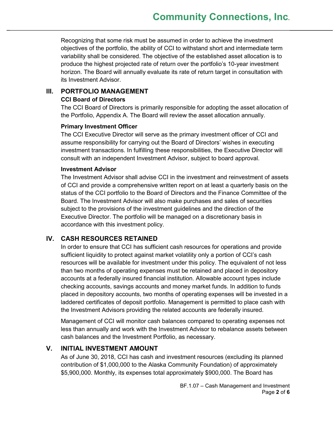Recognizing that some risk must be assumed in order to achieve the investment objectives of the portfolio, the ability of CCI to withstand short and intermediate term variability shall be considered. The objective of the established asset allocation is to produce the highest projected rate of return over the portfolio's 10-year investment horizon. The Board will annually evaluate its rate of return target in consultation with its Investment Advisor.

# **III. PORTFOLIO MANAGEMENT**

# **CCI Board of Directors**

The CCI Board of Directors is primarily responsible for adopting the asset allocation of the Portfolio, Appendix A. The Board will review the asset allocation annually.

# **Primary Investment Officer**

The CCI Executive Director will serve as the primary investment officer of CCI and assume responsibility for carrying out the Board of Directors' wishes in executing investment transactions. In fulfilling these responsibilities, the Executive Director will consult with an independent Investment Advisor, subject to board approval.

# **Investment Advisor**

The Investment Advisor shall advise CCI in the investment and reinvestment of assets of CCI and provide a comprehensive written report on at least a quarterly basis on the status of the CCI portfolio to the Board of Directors and the Finance Committee of the Board. The Investment Advisor will also make purchases and sales of securities subject to the provisions of the investment guidelines and the direction of the Executive Director. The portfolio will be managed on a discretionary basis in accordance with this investment policy.

# **IV. CASH RESOURCES RETAINED**

In order to ensure that CCI has sufficient cash resources for operations and provide sufficient liquidity to protect against market volatility only a portion of CCI's cash resources will be available for investment under this policy. The equivalent of not less than two months of operating expenses must be retained and placed in depository accounts at a federally insured financial institution. Allowable account types include checking accounts, savings accounts and money market funds. In addition to funds placed in depository accounts, two months of operating expenses will be invested in a laddered certificates of deposit portfolio. Management is permitted to place cash with the Investment Advisors providing the related accounts are federally insured.

Management of CCI will monitor cash balances compared to operating expenses not less than annually and work with the Investment Advisor to rebalance assets between cash balances and the Investment Portfolio, as necessary.

# **V. INITIAL INVESTMENT AMOUNT**

As of June 30, 2018, CCI has cash and investment resources (excluding its planned contribution of \$1,000,000 to the Alaska Community Foundation) of approximately \$5,900,000. Monthly, its expenses total approximately \$900,000. The Board has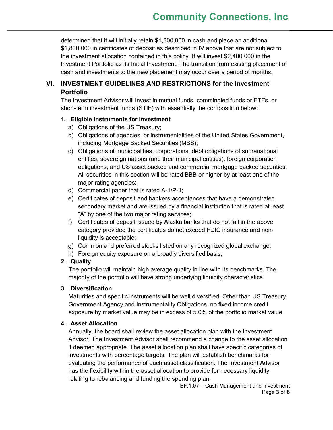determined that it will initially retain \$1,800,000 in cash and place an additional \$1,800,000 in certificates of deposit as described in IV above that are not subject to the investment allocation contained in this policy. It will invest \$2,400,000 in the Investment Portfolio as its Initial Investment. The transition from existing placement of cash and investments to the new placement may occur over a period of months.

# **VI. INVESTMENT GUIDELINES AND RESTRICTIONS for the Investment Portfolio**

The Investment Advisor will invest in mutual funds, commingled funds or ETFs, or short-term investment funds (STIF) with essentially the composition below:

# **1. Eligible Instruments for Investment**

- a) Obligations of the US Treasury;
- b) Obligations of agencies, or instrumentalities of the United States Government, including Mortgage Backed Securities (MBS);
- c) Obligations of municipalities, corporations, debt obligations of supranational entities, sovereign nations (and their municipal entities), foreign corporation obligations, and US asset backed and commercial mortgage backed securities. All securities in this section will be rated BBB or higher by at least one of the major rating agencies;
- d) Commercial paper that is rated A-1/P-1;
- e) Certificates of deposit and bankers acceptances that have a demonstrated secondary market and are issued by a financial institution that is rated at least "A" by one of the two major rating services;
- f) Certificates of deposit issued by Alaska banks that do not fall in the above category provided the certificates do not exceed FDIC insurance and nonliquidity is acceptable;
- g) Common and preferred stocks listed on any recognized global exchange;
- h) Foreign equity exposure on a broadly diversified basis;

# **2. Quality**

The portfolio will maintain high average quality in line with its benchmarks. The majority of the portfolio will have strong underlying liquidity characteristics.

# **3. Diversification**

Maturities and specific instruments will be well diversified. Other than US Treasury, Government Agency and Instrumentality Obligations, no fixed income credit exposure by market value may be in excess of 5.0% of the portfolio market value.

# **4. Asset Allocation**

Annually, the board shall review the asset allocation plan with the Investment Advisor. The Investment Advisor shall recommend a change to the asset allocation if deemed appropriate. The asset allocation plan shall have specific categories of investments with percentage targets. The plan will establish benchmarks for evaluating the performance of each asset classification. The Investment Advisor has the flexibility within the asset allocation to provide for necessary liquidity relating to rebalancing and funding the spending plan.

BF.1.07 – Cash Management and Investment Page **3** of **6**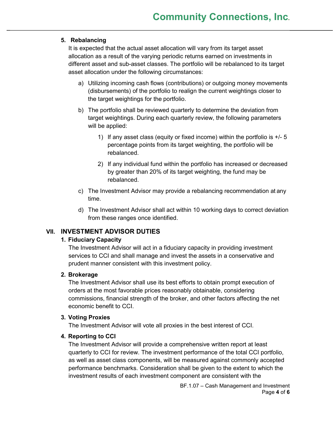# **5. Rebalancing**

It is expected that the actual asset allocation will vary from its target asset allocation as a result of the varying periodic returns earned on investments in different asset and sub-asset classes. The portfolio will be rebalanced to its target asset allocation under the following circumstances:

- a) Utilizing incoming cash flows (contributions) or outgoing money movements (disbursements) of the portfolio to realign the current weightings closer to the target weightings for the portfolio.
- b) The portfolio shall be reviewed quarterly to determine the deviation from target weightings. During each quarterly review, the following parameters will be applied:
	- 1) If any asset class (equity or fixed income) within the portfolio is  $+/-5$ percentage points from its target weighting, the portfolio will be rebalanced.
	- 2) If any individual fund within the portfolio has increased or decreased by greater than 20% of its target weighting, the fund may be rebalanced.
- c) The Investment Advisor may provide a rebalancing recommendation at any time.
- d) The Investment Advisor shall act within 10 working days to correct deviation from these ranges once identified.

# **VII. INVESTMENT ADVISOR DUTIES**

# **1. Fiduciary Capacity**

The Investment Advisor will act in a fiduciary capacity in providing investment services to CCI and shall manage and invest the assets in a conservative and prudent manner consistent with this investment policy.

# **2. Brokerage**

The Investment Advisor shall use its best efforts to obtain prompt execution of orders at the most favorable prices reasonably obtainable, considering commissions, financial strength of the broker, and other factors affecting the net economic benefit to CCI.

# **3. Voting Proxies**

The Investment Advisor will vote all proxies in the best interest of CCI.

# **4. Reporting to CCI**

The Investment Advisor will provide a comprehensive written report at least quarterly to CCI for review. The investment performance of the total CCI portfolio, as well as asset class components, will be measured against commonly accepted performance benchmarks. Consideration shall be given to the extent to which the investment results of each investment component are consistent with the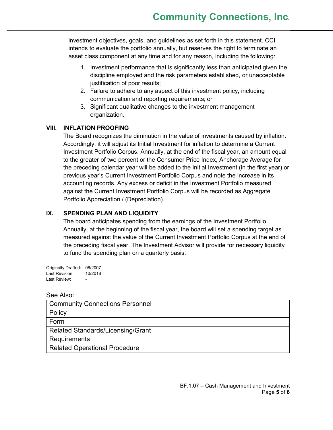investment objectives, goals, and guidelines as set forth in this statement. CCI intends to evaluate the portfolio annually, but reserves the right to terminate an asset class component at any time and for any reason, including the following:

- 1. Investment performance that is significantly less than anticipated given the discipline employed and the risk parameters established, or unacceptable justification of poor results;
- 2. Failure to adhere to any aspect of this investment policy, including communication and reporting requirements; or
- 3. Significant qualitative changes to the investment management organization.

# **VIII. INFLATION PROOFING**

The Board recognizes the diminution in the value of investments caused by inflation. Accordingly, it will adjust its Initial Investment for inflation to determine a Current Investment Portfolio Corpus. Annually, at the end of the fiscal year, an amount equal to the greater of two percent or the Consumer Price Index, Anchorage Average for the preceding calendar year will be added to the Initial Investment (in the first year) or previous year's Current Investment Portfolio Corpus and note the increase in its accounting records. Any excess or deficit in the Investment Portfolio measured against the Current Investment Portfolio Corpus will be recorded as Aggregate Portfolio Appreciation / (Depreciation).

# **IX. SPENDING PLAN AND LIQUIDITY**

The board anticipates spending from the earnings of the Investment Portfolio. Annually, at the beginning of the fiscal year, the board will set a spending target as measured against the value of the Current Investment Portfolio Corpus at the end of the preceding fiscal year. The Investment Advisor will provide for necessary liquidity to fund the spending plan on a quarterly basis.

Originally Drafted: 08/2007 Last Revision: 10/2018 Last Review:

| <b>Community Connections Personnel</b> |  |
|----------------------------------------|--|
| Policy                                 |  |
| Form                                   |  |
| Related Standards/Licensing/Grant      |  |
| Requirements                           |  |
| <b>Related Operational Procedure</b>   |  |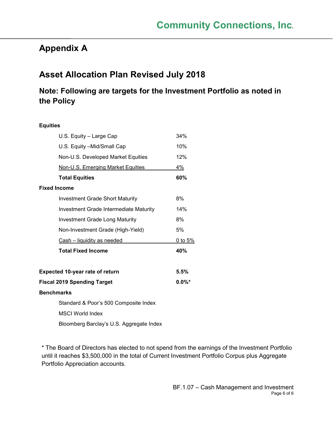# **Appendix A**

# **Asset Allocation Plan Revised July 2018**

# **Note: Following are targets for the Investment Portfolio as noted in the Policy**

| <b>Equities</b>   |                                               |           |
|-------------------|-----------------------------------------------|-----------|
|                   | U.S. Equity - Large Cap                       | 34%       |
|                   | U.S. Equity - Mid/Small Cap                   | 10%       |
|                   | Non-U.S. Developed Market Equities            | 12%       |
|                   | Non-U.S. Emerging Market Equities             | 4%        |
|                   | <b>Total Equities</b>                         | 60%       |
|                   | <b>Fixed Income</b>                           |           |
|                   | <b>Investment Grade Short Maturity</b>        | 8%        |
|                   | <b>Investment Grade Intermediate Maturity</b> | 14%       |
|                   | <b>Investment Grade Long Maturity</b>         | 8%        |
|                   | Non-Investment Grade (High-Yield)             | 5%        |
|                   | Cash - liquidity as needed                    | 0 to 5%   |
|                   | <b>Total Fixed Income</b>                     | 40%       |
|                   | <b>Expected 10-year rate of return</b>        | 5.5%      |
|                   | <b>Fiscal 2019 Spending Target</b>            | $0.0\%$ * |
| <b>Benchmarks</b> |                                               |           |
|                   | Standard & Poor's 500 Composite Index         |           |
|                   | <b>MSCI World Index</b>                       |           |
|                   | Bloomberg Barclay's U.S. Aggregate Index      |           |

\* The Board of Directors has elected to not spend from the earnings of the Investment Portfolio until it reaches \$3,500,000 in the total of Current Investment Portfolio Corpus plus Aggregate Portfolio Appreciation accounts.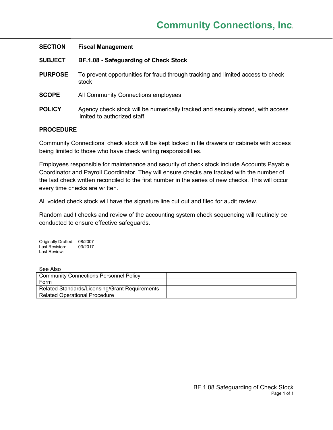| <b>SECTION</b> | <b>Fiscal Management</b>                                                                                        |
|----------------|-----------------------------------------------------------------------------------------------------------------|
| <b>SUBJECT</b> | BF.1.08 - Safeguarding of Check Stock                                                                           |
| <b>PURPOSE</b> | To prevent opportunities for fraud through tracking and limited access to check<br>stock                        |
| <b>SCOPE</b>   | All Community Connections employees                                                                             |
| <b>POLICY</b>  | Agency check stock will be numerically tracked and securely stored, with access<br>limited to authorized staff. |

Community Connections' check stock will be kept locked in file drawers or cabinets with access being limited to those who have check writing responsibilities.

Employees responsible for maintenance and security of check stock include Accounts Payable Coordinator and Payroll Coordinator. They will ensure checks are tracked with the number of the last check written reconciled to the first number in the series of new checks. This will occur every time checks are written.

All voided check stock will have the signature line cut out and filed for audit review.

Random audit checks and review of the accounting system check sequencing will routinely be conducted to ensure effective safeguards.

Originally Drafted: 08/2007 Last Revision: 03/2017 Last Review:

| <b>Community Connections Personnel Policy</b>  |  |
|------------------------------------------------|--|
| Form                                           |  |
| Related Standards/Licensing/Grant Requirements |  |
| <b>Related Operational Procedure</b>           |  |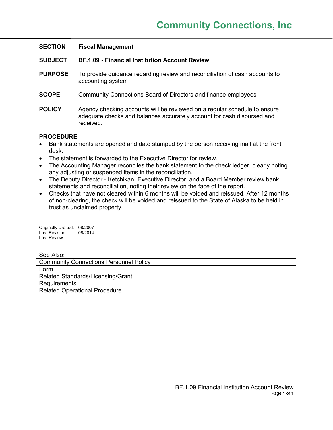| <b>SECTION</b> | <b>Fiscal Management</b>                                                                                                                                         |
|----------------|------------------------------------------------------------------------------------------------------------------------------------------------------------------|
| <b>SUBJECT</b> | <b>BF.1.09 - Financial Institution Account Review</b>                                                                                                            |
| <b>PURPOSE</b> | To provide guidance regarding review and reconciliation of cash accounts to<br>accounting system                                                                 |
| <b>SCOPE</b>   | Community Connections Board of Directors and finance employees                                                                                                   |
| <b>POLICY</b>  | Agency checking accounts will be reviewed on a regular schedule to ensure<br>adequate checks and balances accurately account for cash disbursed and<br>received. |

- Bank statements are opened and date stamped by the person receiving mail at the front desk.
- The statement is forwarded to the Executive Director for review.
- The Accounting Manager reconciles the bank statement to the check ledger, clearly noting any adjusting or suspended items in the reconciliation.
- The Deputy Director Ketchikan, Executive Director, and a Board Member review bank statements and reconciliation, noting their review on the face of the report.
- Checks that have not cleared within 6 months will be voided and reissued. After 12 months of non-clearing, the check will be voided and reissued to the State of Alaska to be held in trust as unclaimed property.

Originally Drafted: 08/2007 Last Revision: 08/2014 Last Review:

| <b>Community Connections Personnel Policy</b> |  |
|-----------------------------------------------|--|
| Form                                          |  |
| Related Standards/Licensing/Grant             |  |
| Requirements                                  |  |
| <b>Related Operational Procedure</b>          |  |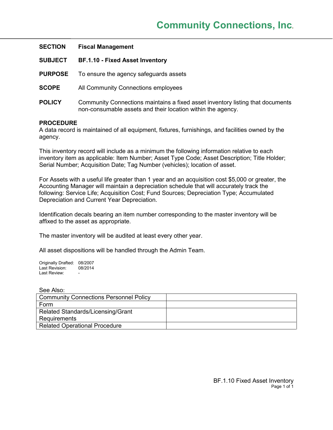| <b>SECTION</b> | <b>Fiscal Management</b>                                                                                                                      |
|----------------|-----------------------------------------------------------------------------------------------------------------------------------------------|
| <b>SUBJECT</b> | <b>BF.1.10 - Fixed Asset Inventory</b>                                                                                                        |
| <b>PURPOSE</b> | To ensure the agency safeguards assets                                                                                                        |
| <b>SCOPE</b>   | All Community Connections employees                                                                                                           |
| <b>POLICY</b>  | Community Connections maintains a fixed asset inventory listing that documents<br>non-consumable assets and their location within the agency. |

A data record is maintained of all equipment, fixtures, furnishings, and facilities owned by the agency.

This inventory record will include as a minimum the following information relative to each inventory item as applicable: Item Number; Asset Type Code; Asset Description; Title Holder; Serial Number; Acquisition Date; Tag Number (vehicles); location of asset.

For Assets with a useful life greater than 1 year and an acquisition cost \$5,000 or greater, the Accounting Manager will maintain a depreciation schedule that will accurately track the following: Service Life; Acquisition Cost; Fund Sources; Depreciation Type; Accumulated Depreciation and Current Year Depreciation.

Identification decals bearing an item number corresponding to the master inventory will be affixed to the asset as appropriate.

The master inventory will be audited at least every other year.

All asset dispositions will be handled through the Admin Team.

Originally Drafted: 08/2007<br>Last Revision: 08/2014 Last Revision: Last Review:

| <b>Community Connections Personnel Policy</b> |  |
|-----------------------------------------------|--|
| Form                                          |  |
| Related Standards/Licensing/Grant             |  |
| <b>Requirements</b>                           |  |
| <b>Related Operational Procedure</b>          |  |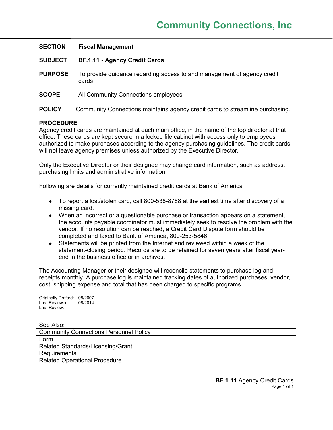| <b>SECTION</b> | <b>Fiscal Management</b>                                                         |
|----------------|----------------------------------------------------------------------------------|
| <b>SUBJECT</b> | <b>BF.1.11 - Agency Credit Cards</b>                                             |
| <b>PURPOSE</b> | To provide guidance regarding access to and management of agency credit<br>cards |
| <b>SCOPE</b>   | All Community Connections employees                                              |
| <b>POLICY</b>  | Community Connections maintains agency credit cards to streamline purchasing.    |

Agency credit cards are maintained at each main office, in the name of the top director at that office. These cards are kept secure in a locked file cabinet with access only to employees authorized to make purchases according to the agency purchasing guidelines. The credit cards will not leave agency premises unless authorized by the Executive Director.

Only the Executive Director or their designee may change card information, such as address, purchasing limits and administrative information.

Following are details for currently maintained credit cards at Bank of America

- To report a lost/stolen card, call 800-538-8788 at the earliest time after discovery of a missing card.
- When an incorrect or a questionable purchase or transaction appears on a statement, the accounts payable coordinator must immediately seek to resolve the problem with the vendor. If no resolution can be reached, a Credit Card Dispute form should be completed and faxed to Bank of America, 800-253-5846.
- Statements will be printed from the Internet and reviewed within a week of the statement-closing period. Records are to be retained for seven years after fiscal yearend in the business office or in archives.

The Accounting Manager or their designee will reconcile statements to purchase log and receipts monthly. A purchase log is maintained tracking dates of authorized purchases, vendor, cost, shipping expense and total that has been charged to specific programs.

Originally Drafted: 08/2007 Last Reviewed: 08/2014 Last Review:

| <b>Community Connections Personnel Policy</b> |  |
|-----------------------------------------------|--|
| Form                                          |  |
| Related Standards/Licensing/Grant             |  |
| Requirements                                  |  |
| <b>Related Operational Procedure</b>          |  |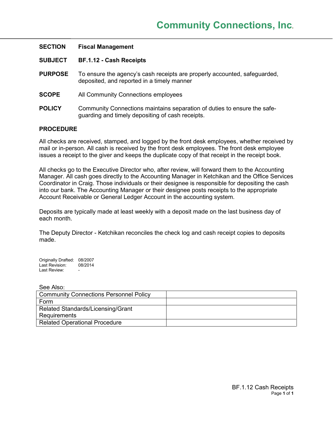| <b>SECTION</b> | <b>Fiscal Management</b>                                                                                                     |
|----------------|------------------------------------------------------------------------------------------------------------------------------|
| <b>SUBJECT</b> | <b>BF.1.12 - Cash Receipts</b>                                                                                               |
| <b>PURPOSE</b> | To ensure the agency's cash receipts are properly accounted, safeguarded,<br>deposited, and reported in a timely manner      |
| <b>SCOPE</b>   | All Community Connections employees                                                                                          |
| <b>POLICY</b>  | Community Connections maintains separation of duties to ensure the safe-<br>guarding and timely depositing of cash receipts. |

All checks are received, stamped, and logged by the front desk employees, whether received by mail or in-person. All cash is received by the front desk employees. The front desk employee issues a receipt to the giver and keeps the duplicate copy of that receipt in the receipt book.

All checks go to the Executive Director who, after review, will forward them to the Accounting Manager. All cash goes directly to the Accounting Manager in Ketchikan and the Office Services Coordinator in Craig. Those individuals or their designee is responsible for depositing the cash into our bank. The Accounting Manager or their designee posts receipts to the appropriate Account Receivable or General Ledger Account in the accounting system.

Deposits are typically made at least weekly with a deposit made on the last business day of each month.

The Deputy Director - Ketchikan reconciles the check log and cash receipt copies to deposits made.

Originally Drafted: 08/2007 Last Revision: 08/2014 Last Review:

| <b>Community Connections Personnel Policy</b> |  |
|-----------------------------------------------|--|
| Form                                          |  |
| Related Standards/Licensing/Grant             |  |
| <b>Requirements</b>                           |  |
| <b>Related Operational Procedure</b>          |  |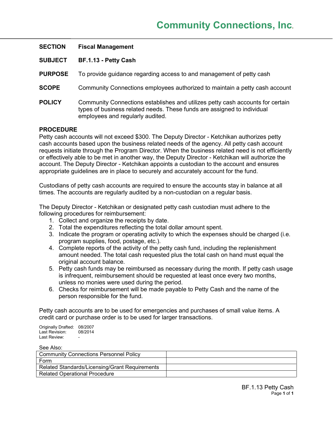| <b>SECTION</b> | <b>Fiscal Management</b>                                                                                                                                                                      |
|----------------|-----------------------------------------------------------------------------------------------------------------------------------------------------------------------------------------------|
| <b>SUBJECT</b> | BF.1.13 - Petty Cash                                                                                                                                                                          |
| <b>PURPOSE</b> | To provide guidance regarding access to and management of petty cash                                                                                                                          |
| <b>SCOPE</b>   | Community Connections employees authorized to maintain a petty cash account                                                                                                                   |
| <b>POLICY</b>  | Community Connections establishes and utilizes petty cash accounts for certain<br>types of business related needs. These funds are assigned to individual<br>employees and regularly audited. |
|                |                                                                                                                                                                                               |

Petty cash accounts will not exceed \$300. The Deputy Director - Ketchikan authorizes petty cash accounts based upon the business related needs of the agency. All petty cash account requests initiate through the Program Director. When the business related need is not efficiently or effectively able to be met in another way, the Deputy Director - Ketchikan will authorize the account. The Deputy Director - Ketchikan appoints a custodian to the account and ensures appropriate guidelines are in place to securely and accurately account for the fund.

Custodians of petty cash accounts are required to ensure the accounts stay in balance at all times. The accounts are regularly audited by a non-custodian on a regular basis.

The Deputy Director - Ketchikan or designated petty cash custodian must adhere to the following procedures for reimbursement:

- 1. Collect and organize the receipts by date.
- 2. Total the expenditures reflecting the total dollar amount spent.
- 3. Indicate the program or operating activity to which the expenses should be charged (i.e. program supplies, food, postage, etc.).
- 4. Complete reports of the activity of the petty cash fund, including the replenishment amount needed. The total cash requested plus the total cash on hand must equal the original account balance.
- 5. Petty cash funds may be reimbursed as necessary during the month. If petty cash usage is infrequent, reimbursement should be requested at least once every two months, unless no monies were used during the period.
- 6. Checks for reimbursement will be made payable to Petty Cash and the name of the person responsible for the fund.

Petty cash accounts are to be used for emergencies and purchases of small value items. A credit card or purchase order is to be used for larger transactions.

Originally Drafted: 08/2007<br>Last Revision: 08/2014 Last Revision: Last Review:

| <b>Community Connections Personnel Policy</b>  |  |
|------------------------------------------------|--|
| Form                                           |  |
| Related Standards/Licensing/Grant Requirements |  |
| <b>Related Operational Procedure</b>           |  |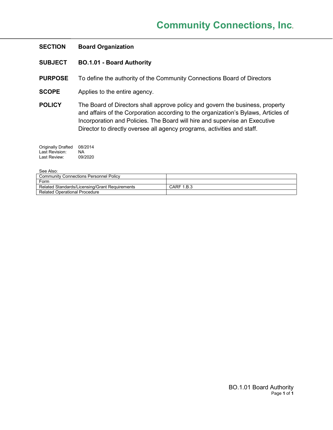# **SECTION Board Organization**

- **SUBJECT BO.1.01 - Board Authority**
- **PURPOSE** To define the authority of the Community Connections Board of Directors
- **SCOPE** Applies to the entire agency.
- **POLICY** The Board of Directors shall approve policy and govern the business, property and affairs of the Corporation according to the organization's Bylaws, Articles of Incorporation and Policies. The Board will hire and supervise an Executive Director to directly oversee all agency programs, activities and staff.

| <b>Originally Drafted</b> | 08/2014 |
|---------------------------|---------|
| Last Revision:            | ΝA      |
| Last Review:              | 09/2020 |

| <b>Community Connections Personnel Policy</b>  |            |
|------------------------------------------------|------------|
| Form                                           |            |
| Related Standards/Licensing/Grant Requirements | CARF 1.B.3 |
| <b>Related Operational Procedure</b>           |            |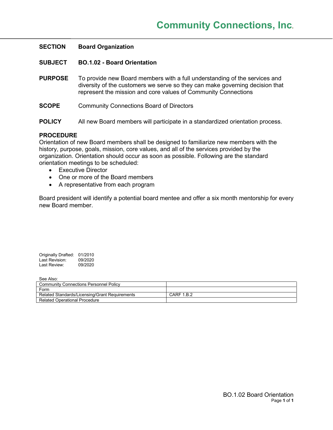| <b>SECTION</b> | <b>Board Organization</b>                                                                                                                                                                                                    |
|----------------|------------------------------------------------------------------------------------------------------------------------------------------------------------------------------------------------------------------------------|
| <b>SUBJECT</b> | <b>BO.1.02 - Board Orientation</b>                                                                                                                                                                                           |
| <b>PURPOSE</b> | To provide new Board members with a full understanding of the services and<br>diversity of the customers we serve so they can make governing decision that<br>represent the mission and core values of Community Connections |
| <b>SCOPE</b>   | <b>Community Connections Board of Directors</b>                                                                                                                                                                              |
| <b>POLICY</b>  | All new Board members will participate in a standardized orientation process.                                                                                                                                                |

Orientation of new Board members shall be designed to familiarize new members with the history, purpose, goals, mission, core values, and all of the services provided by the organization. Orientation should occur as soon as possible. Following are the standard orientation meetings to be scheduled:

- Executive Director
- One or more of the Board members
- A representative from each program

Board president will identify a potential board mentee and offer a six month mentorship for every new Board member.

| Originally Drafted: | 01/2010 |
|---------------------|---------|
| Last Revision:      | 09/2020 |
| Last Review:        | 09/2020 |

| OUU AIJU.                                      |            |
|------------------------------------------------|------------|
| <b>Community Connections Personnel Policy</b>  |            |
| Form                                           |            |
| Related Standards/Licensing/Grant Requirements | CARF 1.B.2 |
| <b>Related Operational Procedure</b>           |            |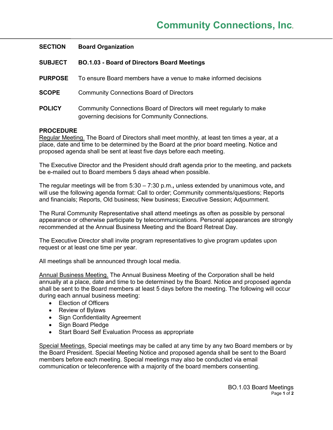| <b>SECTION</b> | <b>Board Organization</b>                                                                                              |
|----------------|------------------------------------------------------------------------------------------------------------------------|
| <b>SUBJECT</b> | <b>BO.1.03 - Board of Directors Board Meetings</b>                                                                     |
| <b>PURPOSE</b> | To ensure Board members have a venue to make informed decisions                                                        |
| <b>SCOPE</b>   | <b>Community Connections Board of Directors</b>                                                                        |
| <b>POLICY</b>  | Community Connections Board of Directors will meet regularly to make<br>governing decisions for Community Connections. |

Regular Meeting. The Board of Directors shall meet monthly, at least ten times a year, at a place, date and time to be determined by the Board at the prior board meeting. Notice and proposed agenda shall be sent at least five days before each meeting.

The Executive Director and the President should draft agenda prior to the meeting, and packets be e-mailed out to Board members 5 days ahead when possible.

The regular meetings will be from 5:30 – 7:30 p.m.**,** unless extended by unanimous vote**,** and will use the following agenda format: Call to order; Community comments/questions; Reports and financials; Reports, Old business; New business; Executive Session; Adjournment.

The Rural Community Representative shall attend meetings as often as possible by personal appearance or otherwise participate by telecommunications. Personal appearances are strongly recommended at the Annual Business Meeting and the Board Retreat Day.

The Executive Director shall invite program representatives to give program updates upon request or at least one time per year.

All meetings shall be announced through local media.

Annual Business Meeting. The Annual Business Meeting of the Corporation shall be held annually at a place, date and time to be determined by the Board. Notice and proposed agenda shall be sent to the Board members at least 5 days before the meeting. The following will occur during each annual business meeting:

- Election of Officers
- Review of Bylaws
- Sign Confidentiality Agreement
- Sign Board Pledge
- Start Board Self Evaluation Process as appropriate

Special Meetings. Special meetings may be called at any time by any two Board members or by the Board President. Special Meeting Notice and proposed agenda shall be sent to the Board members before each meeting. Special meetings may also be conducted via email communication or teleconference with a majority of the board members consenting.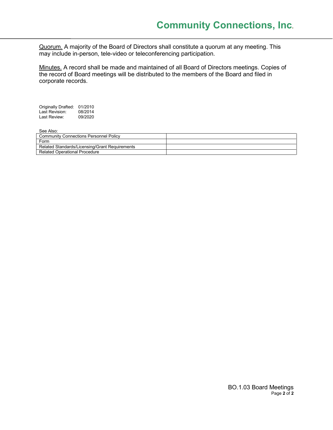Quorum. A majority of the Board of Directors shall constitute a quorum at any meeting. This may include in-person, tele-video or teleconferencing participation.

Minutes. A record shall be made and maintained of all Board of Directors meetings. Copies of the record of Board meetings will be distributed to the members of the Board and filed in corporate records.

Originally Drafted: 01/2010<br>Last Revision: 08/2014 Last Revision: 08/2014<br>Last Review: 09/2020 Last Review:

| --------------                                 |  |
|------------------------------------------------|--|
| <b>Community Connections Personnel Policy</b>  |  |
| Form                                           |  |
| Related Standards/Licensing/Grant Requirements |  |
| Related Operational Procedure                  |  |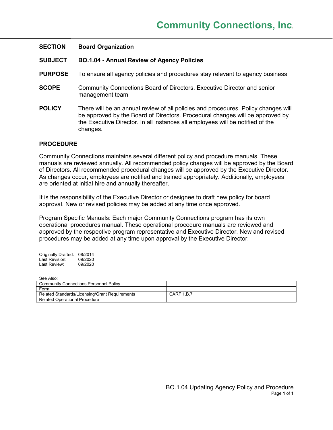| <b>SECTION</b> | <b>Board Organization</b>                                                                                                                                                                                                                                         |
|----------------|-------------------------------------------------------------------------------------------------------------------------------------------------------------------------------------------------------------------------------------------------------------------|
| <b>SUBJECT</b> | <b>BO.1.04 - Annual Review of Agency Policies</b>                                                                                                                                                                                                                 |
| <b>PURPOSE</b> | To ensure all agency policies and procedures stay relevant to agency business                                                                                                                                                                                     |
| <b>SCOPE</b>   | Community Connections Board of Directors, Executive Director and senior<br>management team                                                                                                                                                                        |
| <b>POLICY</b>  | There will be an annual review of all policies and procedures. Policy changes will<br>be approved by the Board of Directors. Procedural changes will be approved by<br>the Executive Director. In all instances all employees will be notified of the<br>changes. |

Community Connections maintains several different policy and procedure manuals. These manuals are reviewed annually. All recommended policy changes will be approved by the Board of Directors. All recommended procedural changes will be approved by the Executive Director. As changes occur, employees are notified and trained appropriately. Additionally, employees are oriented at initial hire and annually thereafter.

It is the responsibility of the Executive Director or designee to draft new policy for board approval. New or revised policies may be added at any time once approved.

Program Specific Manuals: Each major Community Connections program has its own operational procedures manual. These operational procedure manuals are reviewed and approved by the respective program representative and Executive Director. New and revised procedures may be added at any time upon approval by the Executive Director.

Originally Drafted: 08/2014 Last Revision: 09/2020<br>Last Review: 09/2020 Last Review:

| --------------                                 |            |
|------------------------------------------------|------------|
| <b>Community Connections Personnel Policy</b>  |            |
| Form                                           |            |
| Related Standards/Licensing/Grant Requirements | CARF 1.B.7 |
| <b>Related Operational Procedure</b>           |            |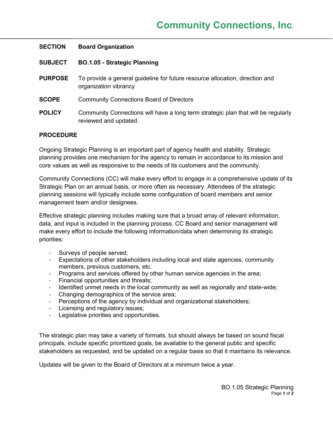| <b>SECTION</b> | <b>Board Organization</b>                                                                                  |
|----------------|------------------------------------------------------------------------------------------------------------|
| <b>SUBJECT</b> | <b>BO.1.05 - Strategic Planning</b>                                                                        |
| <b>PURPOSE</b> | To provide a general guideline for future resource allocation, direction and<br>organization vibrancy      |
| <b>SCOPE</b>   | <b>Community Connections Board of Directors</b>                                                            |
| <b>POLICY</b>  | Community Connections will have a long term strategic plan that will be regularly<br>reviewed and updated. |

Ongoing Strategic Planning is an important part of agency health and stability. Strategic planning provides one mechanism for the agency to remain in accordance to its mission and core values as well as responsive to the needs of its customers and the community.

Community Connections (CC) will make every effort to engage in a comprehensive update of its Strategic Plan on an annual basis, or more often as necessary. Attendees of the strategic planning sessions will typically include some configuration of board members and senior management team and/or designees.

Effective strategic planning includes making sure that a broad array of relevant information, data, and input is included in the planning process. CC Board and senior management will make every effort to include the following information/data when determining its strategic priorities:

- Surveys of people served;
- Expectations of other stakeholders including local and state agencies, community members, previous customers, etc.
- Programs and services offered by other human service agencies in the area;
- Financial opportunities and threats;
- Identified unmet needs in the local community as well as regionally and state-wide;
- Changing demographics of the service area;
- Perceptions of the agency by individual and organizational stakeholders;
- Licensing and regulatory issues;
- Legislative priorities and opportunities.

The strategic plan may take a variety of formats, but should always be based on sound fiscal principals, include specific prioritized goals, be available to the general public and specific stakeholders as requested, and be updated on a regular basis so that it maintains its relevance.

Updates will be given to the Board of Directors at a minimum twice a year.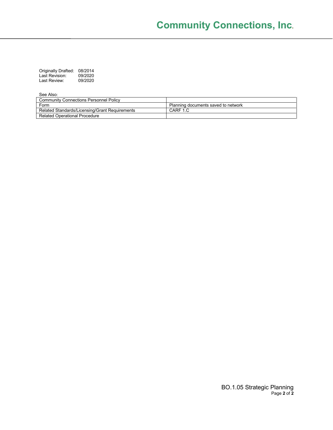| <b>Originally Drafted:</b> | 08/2014 |
|----------------------------|---------|
| Last Revision:             | 09/2020 |
| Last Review:               | 09/2020 |

| Community Connections Personnel Policy         |                                     |
|------------------------------------------------|-------------------------------------|
| Form                                           | Planning documents saved to network |
| Related Standards/Licensing/Grant Requirements | CARF 1.C                            |
| <b>Related Operational Procedure</b>           |                                     |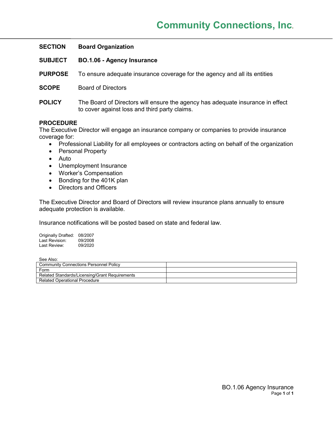| <b>SECTION</b> | <b>Board Organization</b>                                                                                                       |
|----------------|---------------------------------------------------------------------------------------------------------------------------------|
| <b>SUBJECT</b> | <b>BO.1.06 - Agency Insurance</b>                                                                                               |
| <b>PURPOSE</b> | To ensure adequate insurance coverage for the agency and all its entities                                                       |
| <b>SCOPE</b>   | <b>Board of Directors</b>                                                                                                       |
| <b>POLICY</b>  | The Board of Directors will ensure the agency has adequate insurance in effect<br>to cover against loss and third party claims. |
|                |                                                                                                                                 |

The Executive Director will engage an insurance company or companies to provide insurance coverage for:

- Professional Liability for all employees or contractors acting on behalf of the organization
- Personal Property
- Auto
- Unemployment Insurance
- Worker's Compensation
- Bonding for the 401K plan
- Directors and Officers

The Executive Director and Board of Directors will review insurance plans annually to ensure adequate protection is available.

Insurance notifications will be posted based on state and federal law.

Originally Drafted: 08/2007 Last Revision: 09/2008 Last Review: 09/2020

| <b>Community Connections Personnel Policy</b>  |  |
|------------------------------------------------|--|
| Form                                           |  |
| Related Standards/Licensing/Grant Requirements |  |
| Related Operational Procedure                  |  |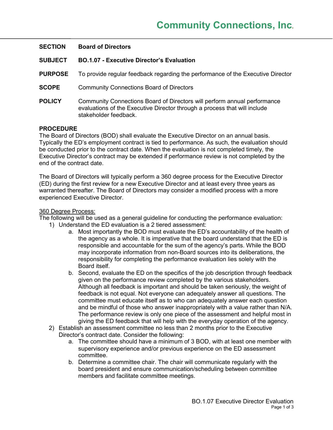| <b>SECTION</b> | <b>Board of Directors</b>                                                                                                                                                      |
|----------------|--------------------------------------------------------------------------------------------------------------------------------------------------------------------------------|
| <b>SUBJECT</b> | <b>BO.1.07 - Executive Director's Evaluation</b>                                                                                                                               |
| <b>PURPOSE</b> | To provide regular feedback regarding the performance of the Executive Director                                                                                                |
| <b>SCOPE</b>   | <b>Community Connections Board of Directors</b>                                                                                                                                |
| <b>POLICY</b>  | Community Connections Board of Directors will perform annual performance<br>evaluations of the Executive Director through a process that will include<br>stakeholder feedback. |
|                |                                                                                                                                                                                |

The Board of Directors (BOD) shall evaluate the Executive Director on an annual basis. Typically the ED's employment contract is tied to performance. As such, the evaluation should be conducted prior to the contract date. When the evaluation is not completed timely, the Executive Director's contract may be extended if performance review is not completed by the end of the contract date.

The Board of Directors will typically perform a 360 degree process for the Executive Director (ED) during the first review for a new Executive Director and at least every three years as warranted thereafter. The Board of Directors may consider a modified process with a more experienced Executive Director.

### 360 Degree Process:

The following will be used as a general guideline for conducting the performance evaluation:

- 1) Understand the ED evaluation is a 2 tiered assessment:
	- a. Most importantly the BOD must evaluate the ED's accountability of the health of the agency as a whole. It is imperative that the board understand that the ED is responsible and accountable for the sum of the agency's parts. While the BOD may incorporate information from non-Board sources into its deliberations, the responsibility for completing the performance evaluation lies solely with the Board itself.
	- b. Second, evaluate the ED on the specifics of the job description through feedback given on the performance review completed by the various stakeholders. Although all feedback is important and should be taken seriously, the weight of feedback is not equal. Not everyone can adequately answer all questions. The committee must educate itself as to who can adequately answer each question and be mindful of those who answer inappropriately with a value rather than N/A. The performance review is only one piece of the assessment and helpful most in giving the ED feedback that will help with the everyday operation of the agency.
- 2) Establish an assessment committee no less than 2 months prior to the Executive Director's contract date. Consider the following:
	- a. The committee should have a minimum of 3 BOD, with at least one member with supervisory experience and/or previous experience on the ED assessment committee.
	- b. Determine a committee chair. The chair will communicate regularly with the board president and ensure communication/scheduling between committee members and facilitate committee meetings.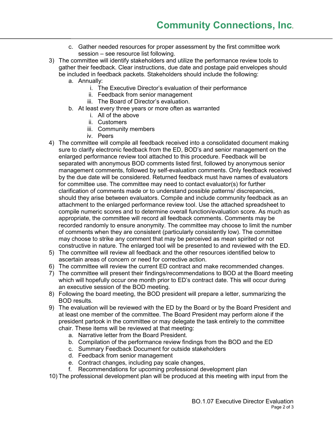- c. Gather needed resources for proper assessment by the first committee work session – see resource list following.
- 3) The committee will identify stakeholders and utilize the performance review tools to gather their feedback. Clear instructions, due date and postage paid envelopes should be included in feedback packets. Stakeholders should include the following:
	- a. Annually:
		- i. The Executive Director's evaluation of their performance
		- ii. Feedback from senior management
		- iii. The Board of Director's evaluation.
	- b. At least every three years or more often as warranted
		- i. All of the above
		- ii. Customers
		- iii. Community members
		- iv. Peers
- 4) The committee will compile all feedback received into a consolidated document making sure to clarify electronic feedback from the ED, BOD's and senior management on the enlarged performance review tool attached to this procedure. Feedback will be separated with anonymous BOD comments listed first, followed by anonymous senior management comments, followed by self-evaluation comments. Only feedback received by the due date will be considered. Returned feedback must have names of evaluators for committee use. The committee may need to contact evaluator(s) for further clarification of comments made or to understand possible patterns/ discrepancies, should they arise between evaluators. Compile and include community feedback as an attachment to the enlarged performance review tool. Use the attached spreadsheet to compile numeric scores and to determine overall function/evaluation score. As much as appropriate, the committee will record all feedback comments. Comments may be recorded randomly to ensure anonymity. The committee may choose to limit the number of comments when they are consistent (particularly consistently low). The committee may choose to strike any comment that may be perceived as mean spirited or not constructive in nature. The enlarged tool will be presented to and reviewed with the ED.
- 5) The committee will review all feedback and the other resources identified below to ascertain areas of concern or need for corrective action.
- 6) The committee will review the current ED contract and make recommended changes.
- 7) The committee will present their findings/recommendations to BOD at the Board meeting which will hopefully occur one month prior to ED's contract date. This will occur during an executive session of the BOD meeting.
- 8) Following the board meeting, the BOD president will prepare a letter, summarizing the BOD results.
- 9) The evaluation will be reviewed with the ED by the Board or by the Board President and at least one member of the committee. The Board President may perform alone if the president partook in the committee or may delegate the task entirely to the committee chair. These items will be reviewed at that meeting:
	- a. Narrative letter from the Board President.
	- b. Compilation of the performance review findings from the BOD and the ED
	- c. Summary Feedback Document for outside stakeholders
	- d. Feedback from senior management
	- e. Contract changes, including pay scale changes,
	- f. Recommendations for upcoming professional development plan
- 10) The professional development plan will be produced at this meeting with input from the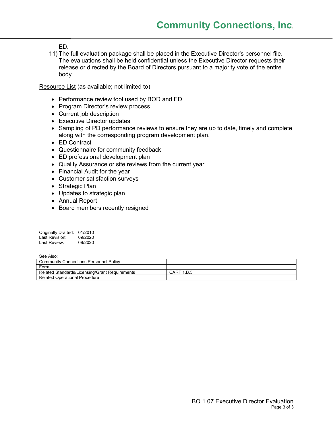ED.

11) The full evaluation package shall be placed in the Executive Director's personnel file. The evaluations shall be held confidential unless the Executive Director requests their release or directed by the Board of Directors pursuant to a majority vote of the entire body

Resource List (as available; not limited to)

- Performance review tool used by BOD and ED
- Program Director's review process
- Current job description
- Executive Director updates
- Sampling of PD performance reviews to ensure they are up to date, timely and complete along with the corresponding program development plan.
- ED Contract
- Questionnaire for community feedback
- ED professional development plan
- Quality Assurance or site reviews from the current year
- Financial Audit for the year
- Customer satisfaction surveys
- Strategic Plan
- Updates to strategic plan
- Annual Report
- Board members recently resigned

| Originally Drafted: | 01/2010 |
|---------------------|---------|
| Last Revision:      | 09/2020 |
| Last Review:        | 09/2020 |

| <b>Community Connections Personnel Policy</b>  |                   |
|------------------------------------------------|-------------------|
| Form                                           |                   |
| Related Standards/Licensing/Grant Requirements | <b>CARF 1.B.5</b> |
| <b>Related Operational Procedure</b>           |                   |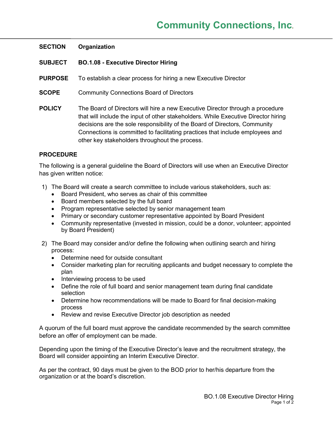# **SECTION Organization**

- **SUBJECT BO.1.08 - Executive Director Hiring**
- **PURPOSE** To establish a clear process for hiring a new Executive Director
- **SCOPE** Community Connections Board of Directors
- **POLICY** The Board of Directors will hire a new Executive Director through a procedure that will include the input of other stakeholders. While Executive Director hiring decisions are the sole responsibility of the Board of Directors, Community Connections is committed to facilitating practices that include employees and other key stakeholders throughout the process.

# **PROCEDURE**

The following is a general guideline the Board of Directors will use when an Executive Director has given written notice:

- 1) The Board will create a search committee to include various stakeholders, such as:
	- Board President, who serves as chair of this committee
	- Board members selected by the full board
	- Program representative selected by senior management team
	- Primary or secondary customer representative appointed by Board President
	- Community representative (invested in mission, could be a donor, volunteer; appointed by Board President)
- 2) The Board may consider and/or define the following when outlining search and hiring process:
	- Determine need for outside consultant
	- Consider marketing plan for recruiting applicants and budget necessary to complete the plan
	- Interviewing process to be used
	- Define the role of full board and senior management team during final candidate selection
	- Determine how recommendations will be made to Board for final decision-making process
	- Review and revise Executive Director job description as needed

A quorum of the full board must approve the candidate recommended by the search committee before an offer of employment can be made.

Depending upon the timing of the Executive Director's leave and the recruitment strategy, the Board will consider appointing an Interim Executive Director.

As per the contract, 90 days must be given to the BOD prior to her/his departure from the organization or at the board's discretion.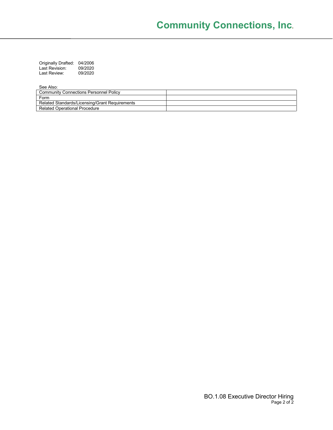Originally Drafted: 04/2006 Last Revision: 09/2020 Last Review: 09/2020

| <b>000,000,</b>                                |  |
|------------------------------------------------|--|
| <b>Community Connections Personnel Policy</b>  |  |
| Form                                           |  |
| Related Standards/Licensing/Grant Requirements |  |
| <b>Related Operational Procedure</b>           |  |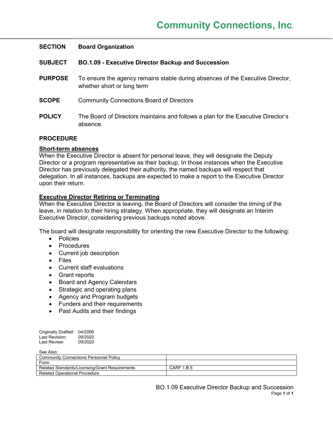| <b>SECTION</b> | <b>Board Organization</b>                                                                                    |
|----------------|--------------------------------------------------------------------------------------------------------------|
| <b>SUBJECT</b> | <b>BO.1.09 - Executive Director Backup and Succession</b>                                                    |
| <b>PURPOSE</b> | To ensure the agency remains stable during absences of the Executive Director,<br>whether short or long term |
| <b>SCOPE</b>   | <b>Community Connections Board of Directors</b>                                                              |
| <b>POLICY</b>  | The Board of Directors maintains and follows a plan for the Executive Director's<br>absence.                 |

### **Short-term absences**

When the Executive Director is absent for personal leave, they will designate the Deputy Director or a program representative as their backup. In those instances when the Executive Director has previously delegated their authority, the named backups will respect that delegation. In all instances, backups are expected to make a report to the Executive Director upon their return.

# **Executive Director Retiring or Terminating**

When the Executive Director is leaving, the Board of Directors will consider the timing of the leave, in relation to their hiring strategy. When appropriate, they will designate an Interim Executive Director, considering previous backups noted above.

The board will designate responsibility for orienting the new Executive Director to the following:

- Policies
- Procedures
- Current job description
- Files
- Current staff evaluations
- Grant reports
- Board and Agency Calendars
- Strategic and operating plans
- Agency and Program budgets
- Funders and their requirements
- Past Audits and their findings

| Originally Drafted: | 04/2006 |
|---------------------|---------|
| Last Revision:      | 09/2020 |
| Last Review:        | 09/2020 |

| <b>Community Connections Personnel Policy</b>  |                   |
|------------------------------------------------|-------------------|
| Form                                           |                   |
| Related Standards/Licensing/Grant Requirements | <b>CARF 1.B.5</b> |
| <b>Related Operational Procedure</b>           |                   |